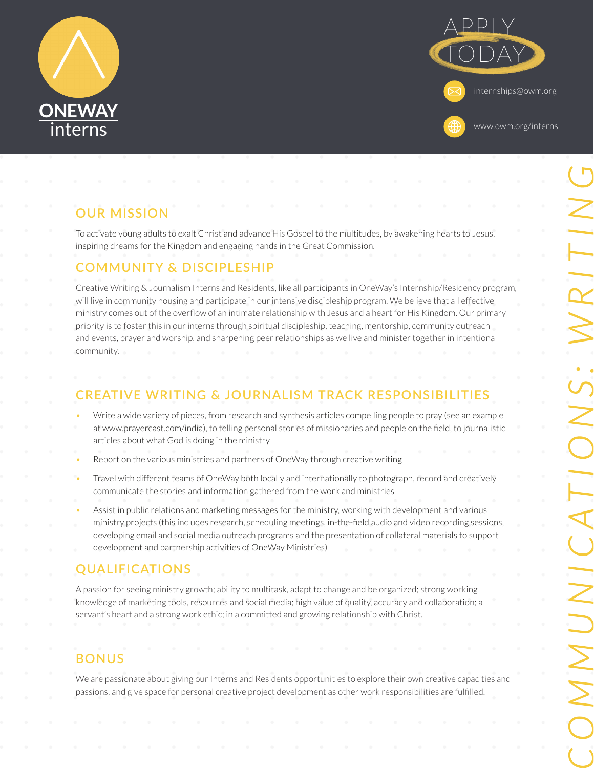



# **OUR MISSION**

To activate young adults to exalt Christ and advance His Gospel to the multitudes, by awakening hearts to Jesus, inspiring dreams for the Kingdom and engaging hands in the Great Commission.

#### **COMMUNITY & DISCIPLESHIP**

Creative Writing & Journalism Interns and Residents, like all participants in OneWay's Internship/Residency program, will live in community housing and participate in our intensive discipleship program. We believe that all effective ministry comes out of the overflow of an intimate relationship with Jesus and a heart for His Kingdom. Our primary priority is to foster this in our interns through spiritual discipleship, teaching, mentorship, community outreach and events, prayer and worship, and sharpening peer relationships as we live and minister together in intentional community.

# **CREATIVE WRITING & JOURNALISM TRACK RESPONSIBILITIES**

- Write a wide variety of pieces, from research and synthesis articles compelling people to pray (see an example at www.prayercast.com/india), to telling personal stories of missionaries and people on the field, to journalistic articles about what God is doing in the ministry
- Report on the various ministries and partners of OneWay through creative writing
- Travel with different teams of OneWay both locally and internationally to photograph, record and creatively communicate the stories and information gathered from the work and ministries
- Assist in public relations and marketing messages for the ministry, working with development and various ministry projects (this includes research, scheduling meetings, in-the-field audio and video recording sessions, developing email and social media outreach programs and the presentation of collateral materials to support development and partnership activities of OneWay Ministries)

## **QUALIFICATIONS**

A passion for seeing ministry growth; ability to multitask, adapt to change and be organized; strong working knowledge of marketing tools, resources and social media; high value of quality, accuracy and collaboration; a servant's heart and a strong work ethic; in a committed and growing relationship with Christ.

# **BONUS**

We are passionate about giving our Interns and Residents opportunities to explore their own creative capacities and passions, and give space for personal creative project development as other work responsibilities are fulfilled.